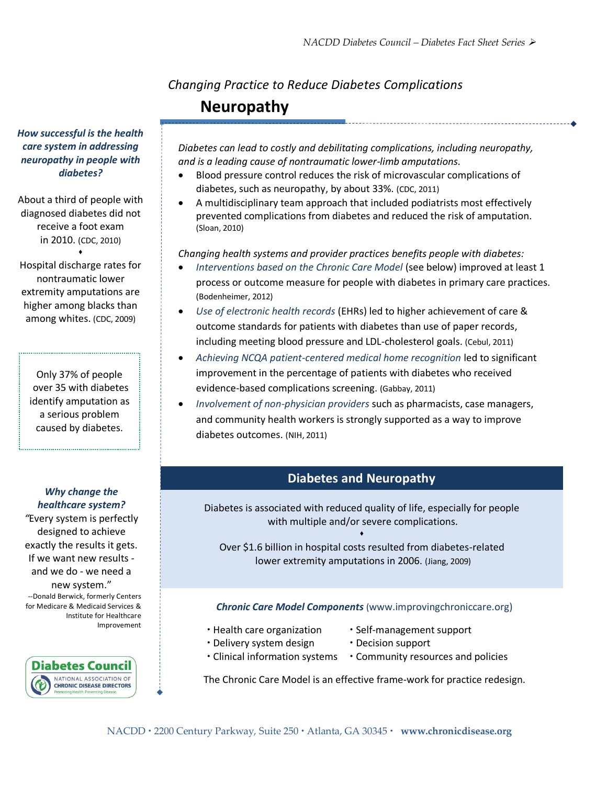# *Changing Practice to Reduce Diabetes Complications* **Neuropathy**

*How successful is the health care system in addressing neuropathy in people with diabetes?*

About a third of people with diagnosed diabetes did not receive a foot exam in 2010. (CDC, 2010)

 extremity amputations are among whites. (CDC, 2009)  $\bullet$ Hospital discharge rates for nontraumatic lower higher among blacks than

Only 37% of people over 35 with diabetes identify amputation as a serious problem caused by diabetes.

*Why change the healthcare system?*

*"*Every system is perfectly designed to achieve exactly the results it gets. If we want new results and we do - we need a new system." --Donald Berwick, formerly Centers for Medicare & Medicaid Services & Institute for Healthcare Improvement



*Diabetes can lead to costly and debilitating complications, including neuropathy, and is a leading cause of nontraumatic lower-limb amputations.* 

- Blood pressure control reduces the risk of microvascular complications of diabetes, such as neuropathy, by about 33%. (CDC, 2011)
- A multidisciplinary team approach that included podiatrists most effectively prevented complications from diabetes and reduced the risk of amputation. (Sloan, 2010)

*Changing health systems and provider practices benefits people with diabetes:*

- *Interventions based on the Chronic Care Model* (see below) improved at least 1 process or outcome measure for people with diabetes in primary care practices. (Bodenheimer, 2012)
- *Use of electronic health records* (EHRs) led to higher achievement of care & outcome standards for patients with diabetes than use of paper records, including meeting blood pressure and LDL-cholesterol goals. (Cebul, 2011)
- *Achieving NCQA patient-centered medical home recognition* led to significant improvement in the percentage of patients with diabetes who received evidence-based complications screening. (Gabbay, 2011)
- *Involvement of non-physician providers* such as pharmacists, case managers, and community health workers is strongly supported as a way to improve diabetes outcomes. (NIH, 2011)

# **Diabetes and Neuropathy**

Diabetes is associated with reduced quality of life, especially for people with multiple and/or severe complications.

 $\bullet$ Over \$1.6 billion in hospital costs resulted from diabetes-related lower extremity amputations in 2006. (Jiang, 2009)

#### *Chronic Care Model Components* (www.improvingchroniccare.org)

- 
- $\cdot$  Health care organization  $\cdot$  Self-management support
- Delivery system design Decision support
	-
- $\cdot$  Clinical information systems  $\cdot$  Community resources and policies

The Chronic Care Model is an effective frame-work for practice redesign.